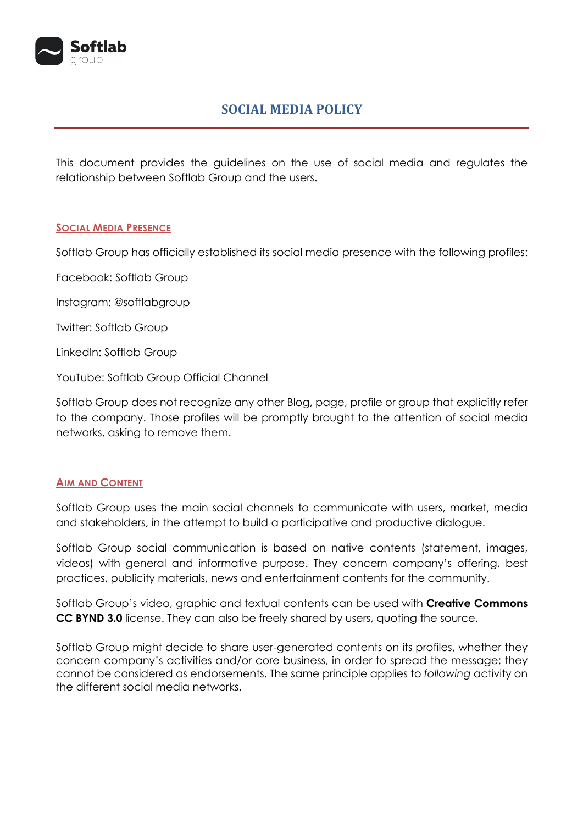

# **SOCIAL MEDIA POLICY**

This document provides the guidelines on the use of social media and regulates the relationship between Softlab Group and the users.

#### **SOCIAL MEDIA PRESENCE**

Softlab Group has officially established its social media presence with the following profiles:

Facebook: Softlab Group

Instagram: [@softlabgroup](https://www.instagram.com/softlabgroup/)

Twitter: Softlab Group

LinkedIn: Softlab Group

YouTube: Softlab Group Official Channel

Softlab Group does not recognize any other Blog, page, profile or group that explicitly refer to the company. Those profiles will be promptly brought to the attention of social media networks, asking to remove them.

#### **AIM AND CONTENT**

Softlab Group uses the main social channels to communicate with users, market, media and stakeholders, in the attempt to build a participative and productive dialogue.

Softlab Group social communication is based on native contents (statement, images, videos) with general and informative purpose. They concern company's offering, best practices, publicity materials, news and entertainment contents for the community.

Softlab Group's video, graphic and textual contents can be used with **Creative Commons CC BYND 3.0** license. They can also be freely shared by users, quoting the source.

Softlab Group might decide to share user-generated contents on its profiles, whether they concern company's activities and/or core business, in order to spread the message; they cannot be considered as endorsements. The same principle applies to *following* activity on the different social media networks.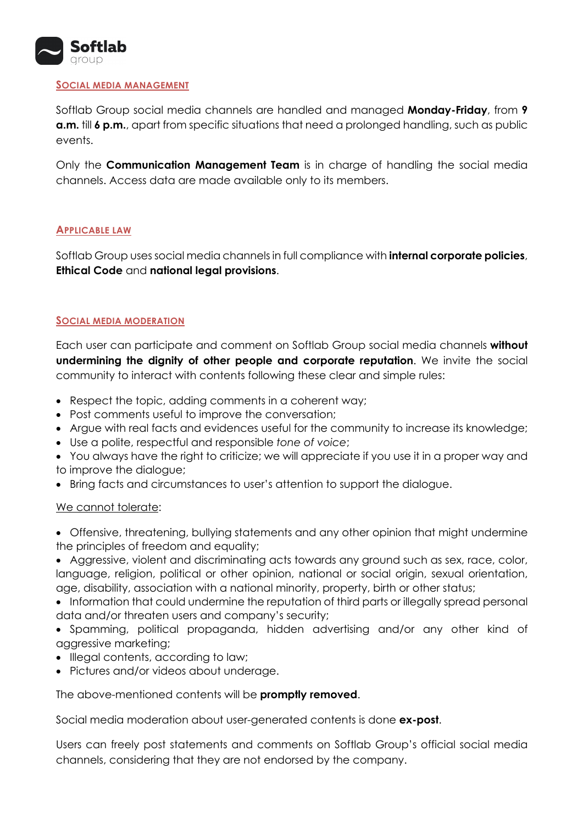

#### **SOCIAL MEDIA MANAGEMENT**

Softlab Group social media channels are handled and managed **Monday-Friday**, from **9 a.m.** till **6 p.m.**, apart from specific situations that need a prolonged handling, such as public events.

Only the **Communication Management Team** is in charge of handling the social media channels. Access data are made available only to its members.

#### **APPLICABLE LAW**

Softlab Group uses social media channels in full compliance with **internal corporate policies**, **Ethical Code** and **national legal provisions**.

## **SOCIAL MEDIA MODERATION**

Each user can participate and comment on Softlab Group social media channels **without undermining the dignity of other people and corporate reputation**. We invite the social community to interact with contents following these clear and simple rules:

- Respect the topic, adding comments in a coherent way;
- Post comments useful to improve the conversation;
- Argue with real facts and evidences useful for the community to increase its knowledge;
- Use a polite, respectful and responsible *tone of voice*;
- You always have the right to criticize; we will appreciate if you use it in a proper way and to improve the dialogue;
- Bring facts and circumstances to user's attention to support the dialogue.

#### We cannot tolerate:

- Offensive, threatening, bullying statements and any other opinion that might undermine the principles of freedom and equality;
- Aggressive, violent and discriminating acts towards any ground such as sex, race, color, language, religion, political or other opinion, national or social origin, sexual orientation, age, disability, association with a national minority, property, birth or other status;
- Information that could undermine the reputation of third parts or illegally spread personal data and/or threaten users and company's security;
- Spamming, political propaganda, hidden advertising and/or any other kind of aggressive marketing;
- Illegal contents, according to law;
- Pictures and/or videos about underage.

#### The above-mentioned contents will be **promptly removed**.

Social media moderation about user-generated contents is done **ex-post**.

Users can freely post statements and comments on Softlab Group's official social media channels, considering that they are not endorsed by the company.